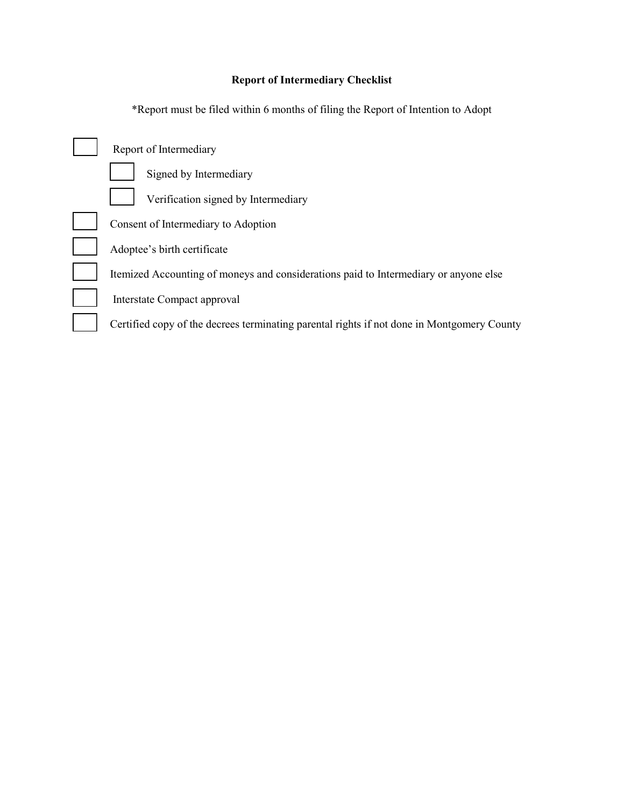## **Report of Intermediary Checklist**

\*Report must be filed within 6 months of filing the Report of Intention to Adopt

| Report of Intermediary                                                                     |
|--------------------------------------------------------------------------------------------|
| Signed by Intermediary                                                                     |
| Verification signed by Intermediary                                                        |
| Consent of Intermediary to Adoption                                                        |
| Adoptee's birth certificate                                                                |
| Itemized Accounting of moneys and considerations paid to Intermediary or anyone else       |
| Interstate Compact approval                                                                |
| Certified copy of the decrees terminating parental rights if not done in Montgomery County |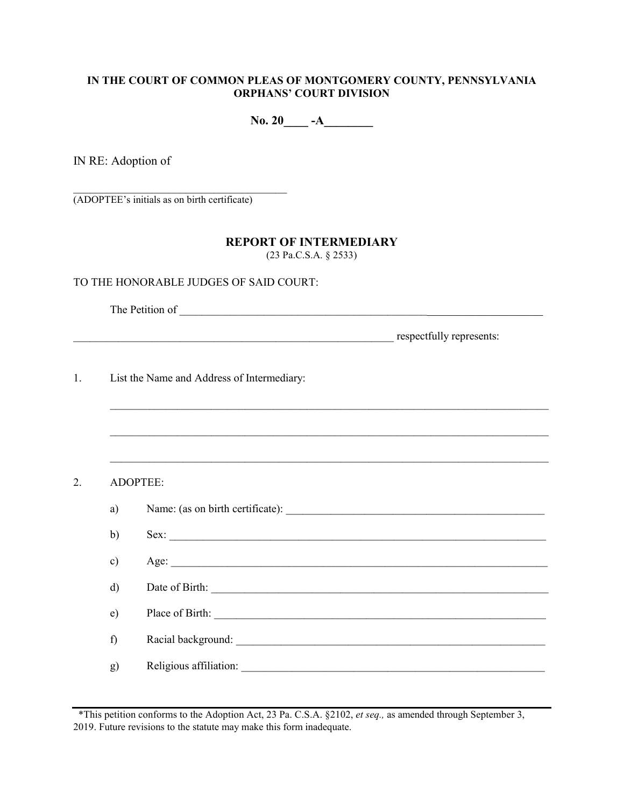### **IN THE COURT OF COMMON PLEAS OF MONTGOMERY COUNTY, PENNSYLVANIA ORPHANS' COURT DIVISION**

No. 20\_\_\_\_ -A\_\_\_\_\_\_\_

IN RE: Adoption of

 $\overline{\phantom{a}}$  , which is a set of the set of the set of the set of the set of the set of the set of the set of the set of the set of the set of the set of the set of the set of the set of the set of the set of the set of th (ADOPTEE's initials as on birth certificate)

## **REPORT OF INTERMEDIARY**

(23 Pa.C.S.A. § 2533)

### TO THE HONORABLE JUDGES OF SAID COURT:

The Petition of \_\_\_\_\_\_\_\_\_\_\_\_\_\_\_\_\_\_\_\_\_\_\_\_\_\_\_\_\_\_\_\_\_\_\_\_\_\_\_\_\_\_\_\_\_\_\_\_\_\_\_\_\_\_\_\_\_\_\_\_\_\_\_

\_\_\_\_\_\_\_\_\_\_\_\_\_\_\_\_\_\_\_\_\_\_\_\_\_\_\_\_\_\_\_\_\_\_\_\_\_\_\_\_\_\_\_\_\_\_\_\_\_\_\_\_\_\_\_\_\_ respectfully represents:

1. List the Name and Address of Intermediary:

2. ADOPTEE:

| a)           |                        |
|--------------|------------------------|
| $\mathbf{b}$ | Sex:                   |
| c)           |                        |
| d)           | Date of Birth:         |
| e)           | Place of Birth:        |
| f)           | Racial background:     |
| g)           | Religious affiliation: |

 $\mathcal{L}_\text{max} = \frac{1}{2} \sum_{i=1}^{n} \frac{1}{2} \sum_{i=1}^{n} \frac{1}{2} \sum_{i=1}^{n} \frac{1}{2} \sum_{i=1}^{n} \frac{1}{2} \sum_{i=1}^{n} \frac{1}{2} \sum_{i=1}^{n} \frac{1}{2} \sum_{i=1}^{n} \frac{1}{2} \sum_{i=1}^{n} \frac{1}{2} \sum_{i=1}^{n} \frac{1}{2} \sum_{i=1}^{n} \frac{1}{2} \sum_{i=1}^{n} \frac{1}{2} \sum_{i=1}^{n} \frac{1$ 

 $\mathcal{L}_\text{max}$  , and the contribution of the contribution of the contribution of the contribution of the contribution of the contribution of the contribution of the contribution of the contribution of the contribution of t

\*This petition conforms to the Adoption Act, 23 Pa. C.S.A. §2102, *et seq.,* as amended through September 3, 2019. Future revisions to the statute may make this form inadequate.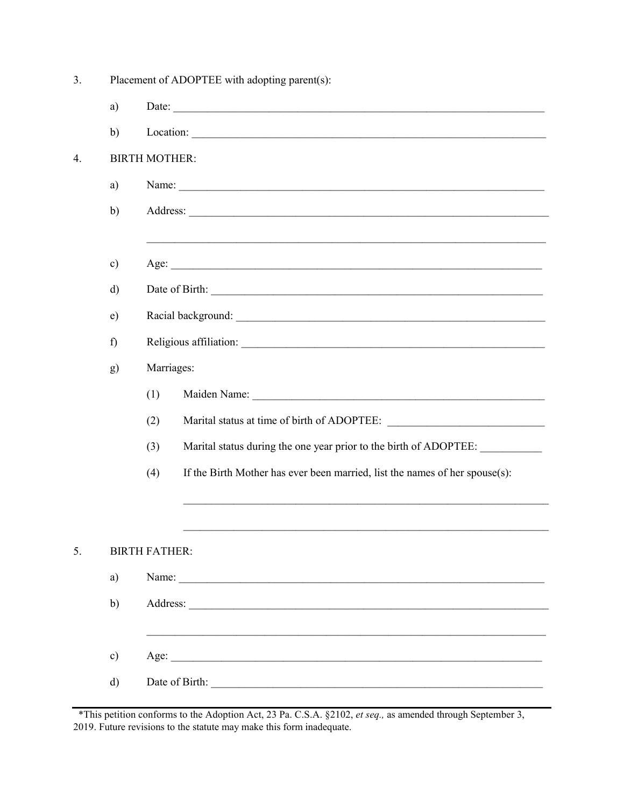| 3. | Placement of ADOPTEE with adopting parent(s): |                                                                                                                                                                                                                                      |  |  |  |
|----|-----------------------------------------------|--------------------------------------------------------------------------------------------------------------------------------------------------------------------------------------------------------------------------------------|--|--|--|
|    | a)                                            |                                                                                                                                                                                                                                      |  |  |  |
|    | b)                                            |                                                                                                                                                                                                                                      |  |  |  |
| 4. | <b>BIRTH MOTHER:</b>                          |                                                                                                                                                                                                                                      |  |  |  |
|    | a)                                            | Name:                                                                                                                                                                                                                                |  |  |  |
|    | b)                                            | Address:                                                                                                                                                                                                                             |  |  |  |
|    | $\mathbf{c})$                                 |                                                                                                                                                                                                                                      |  |  |  |
|    | $\mathbf{d}$                                  |                                                                                                                                                                                                                                      |  |  |  |
|    | e)                                            |                                                                                                                                                                                                                                      |  |  |  |
|    | f)                                            |                                                                                                                                                                                                                                      |  |  |  |
|    | g)                                            | Marriages:                                                                                                                                                                                                                           |  |  |  |
|    |                                               | (1)<br>Maiden Name: Name and South Assembly and South Assembly and South Assembly and South Assembly and South Assembly and South Assembly and South Assembly and South Assembly and Assembly and Assembly and Assembly and Assembly |  |  |  |
|    |                                               | (2)                                                                                                                                                                                                                                  |  |  |  |
|    |                                               | Marital status during the one year prior to the birth of ADOPTEE:<br>(3)                                                                                                                                                             |  |  |  |
|    |                                               | If the Birth Mother has ever been married, list the names of her spouse(s):<br>(4)                                                                                                                                                   |  |  |  |
|    |                                               |                                                                                                                                                                                                                                      |  |  |  |
| 5. |                                               | <b>BIRTH FATHER:</b>                                                                                                                                                                                                                 |  |  |  |
|    | a)                                            |                                                                                                                                                                                                                                      |  |  |  |
|    | b)                                            |                                                                                                                                                                                                                                      |  |  |  |
|    | $\mathbf{c})$                                 |                                                                                                                                                                                                                                      |  |  |  |
|    | $\mathbf{d}$                                  |                                                                                                                                                                                                                                      |  |  |  |
|    |                                               |                                                                                                                                                                                                                                      |  |  |  |

\*This petition conforms to the Adoption Act, 23 Pa. C.S.A.  $\S2102$ , et seq., as amended through September 3, 2019. Future revisions to the statute may make this form inadequate.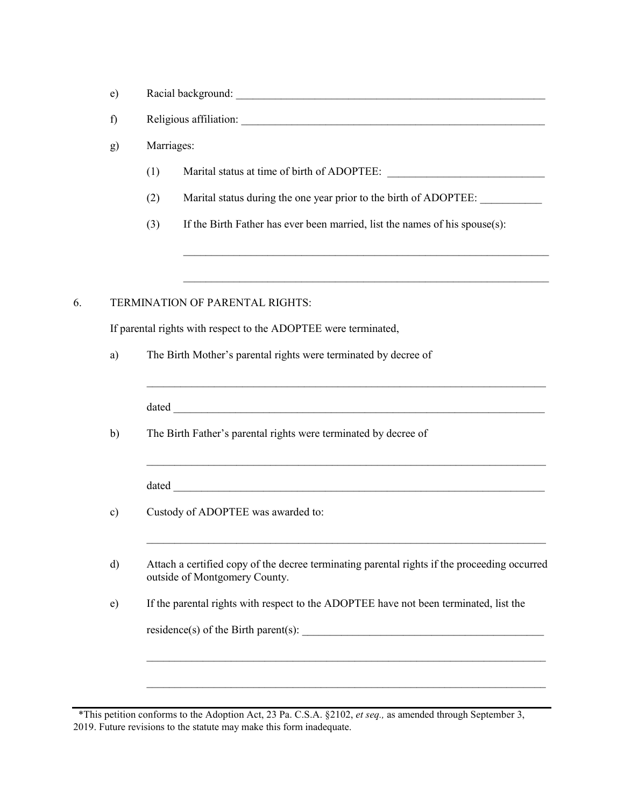| $\Delta$<br>◡ | Racial background: |  |
|---------------|--------------------|--|
|               |                    |  |

f) Religious affiliation:

g) Marriages:

- $(1)$  Marital status at time of birth of ADOPTEE:
- (2) Marital status during the one year prior to the birth of ADOPTEE: \_\_\_\_\_\_\_\_\_\_
- (3) If the Birth Father has ever been married, list the names of his spouse(s):

\_\_\_\_\_\_\_\_\_\_\_\_\_\_\_\_\_\_\_\_\_\_\_\_\_\_\_\_\_\_\_\_\_\_\_\_\_\_\_\_\_\_\_\_\_\_\_\_\_\_\_\_\_\_\_\_\_\_\_\_\_\_\_\_\_

 $\mathcal{L}_\text{max} = \mathcal{L}_\text{max} = \mathcal{L}_\text{max} = \mathcal{L}_\text{max} = \mathcal{L}_\text{max} = \mathcal{L}_\text{max} = \mathcal{L}_\text{max} = \mathcal{L}_\text{max} = \mathcal{L}_\text{max} = \mathcal{L}_\text{max} = \mathcal{L}_\text{max} = \mathcal{L}_\text{max} = \mathcal{L}_\text{max} = \mathcal{L}_\text{max} = \mathcal{L}_\text{max} = \mathcal{L}_\text{max} = \mathcal{L}_\text{max} = \mathcal{L}_\text{max} = \mathcal{$ 

## 6. TERMINATION OF PARENTAL RIGHTS:

If parental rights with respect to the ADOPTEE were terminated,

a) The Birth Mother's parental rights were terminated by decree of

| The Birth Father's parental rights were terminated by decree of                                                               |
|-------------------------------------------------------------------------------------------------------------------------------|
|                                                                                                                               |
| Custody of ADOPTEE was awarded to:                                                                                            |
| Attach a certified copy of the decree terminating parental rights if the proceeding occurred<br>outside of Montgomery County. |
| If the parental rights with respect to the ADOPTEE have not been terminated, list the                                         |
|                                                                                                                               |

<sup>\*</sup>This petition conforms to the Adoption Act, 23 Pa. C.S.A. §2102, *et seq.,* as amended through September 3, 2019. Future revisions to the statute may make this form inadequate.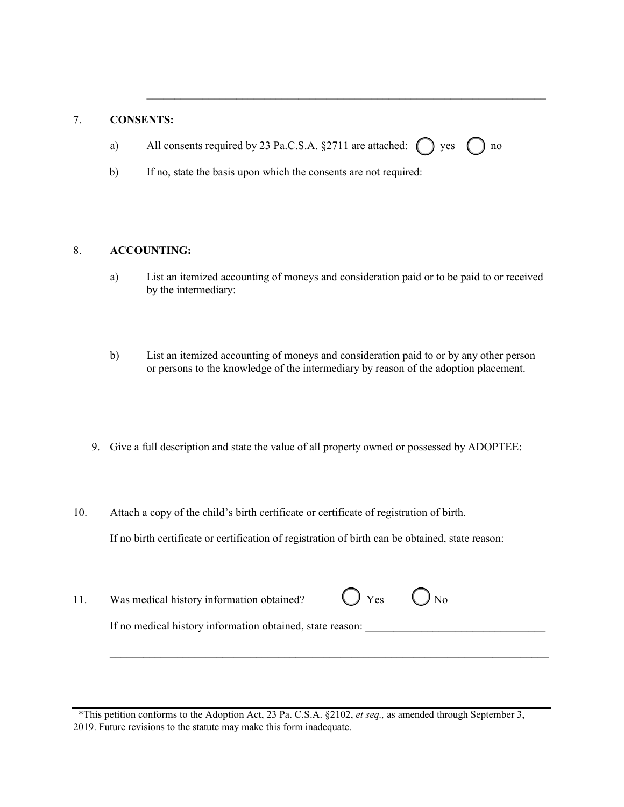## 7. **CONSENTS:**

a) All consents required by 23 Pa.C.S.A.  $\S 2711$  are attached:  $\bigcap$  yes  $\bigcap$  no

\_\_\_\_\_\_\_\_\_\_\_\_\_\_\_\_\_\_\_\_\_\_\_\_\_\_\_\_\_\_\_\_\_\_\_\_\_\_\_\_\_\_\_\_\_\_\_\_\_\_\_\_\_\_\_\_\_\_\_\_\_\_\_\_\_\_\_\_\_\_\_

b) If no, state the basis upon which the consents are not required:

#### 8. **ACCOUNTING:**

- a) List an itemized accounting of moneys and consideration paid or to be paid to or received by the intermediary:
- b) List an itemized accounting of moneys and consideration paid to or by any other person or persons to the knowledge of the intermediary by reason of the adoption placement.
- 9. Give a full description and state the value of all property owned or possessed by ADOPTEE:
- 10. Attach a copy of the child's birth certificate or certificate of registration of birth. If no birth certificate or certification of registration of birth can be obtained, state reason:
- 11. Was medical history information obtained?  $\bigcirc$  Yes  $\bigcirc$  No If no medical history information obtained, state reason: \_\_\_\_\_\_\_\_\_\_\_\_\_\_\_\_\_\_\_\_\_\_\_

\_\_\_\_\_\_\_\_\_\_\_\_\_\_\_\_\_\_\_\_\_\_\_\_\_\_\_\_\_\_\_\_\_\_\_\_\_\_\_\_\_\_\_\_\_\_\_\_\_\_\_\_\_\_\_\_\_\_\_\_\_\_\_\_\_\_\_\_\_\_\_\_\_\_\_\_\_\_

<sup>\*</sup>This petition conforms to the Adoption Act, 23 Pa. C.S.A. §2102, *et seq.,* as amended through September 3, 2019. Future revisions to the statute may make this form inadequate.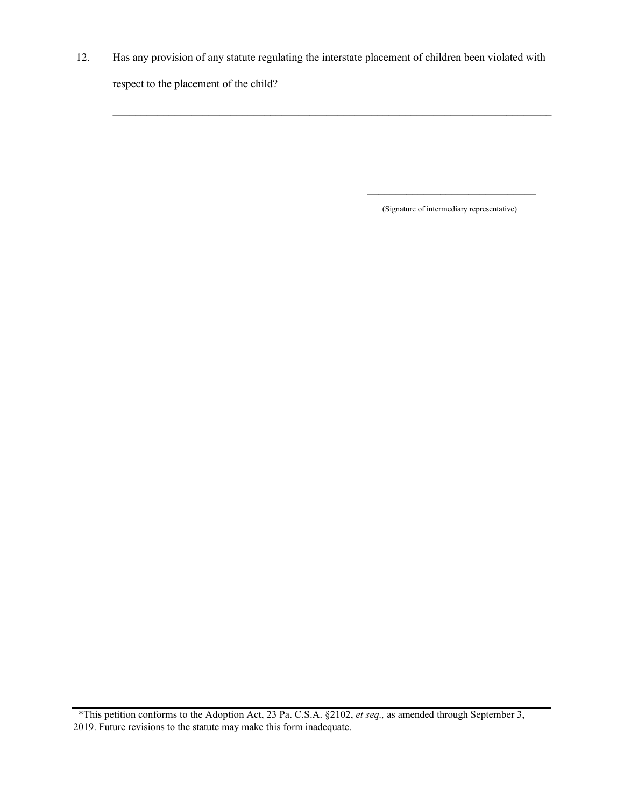12. Has any provision of any statute regulating the interstate placement of children been violated with respect to the placement of the child?

 $\_$  , and the set of the set of the set of the set of the set of the set of the set of the set of the set of the set of the set of the set of the set of the set of the set of the set of the set of the set of the set of th

(Signature of intermediary representative)

 $\overline{\phantom{a}}$  , where  $\overline{\phantom{a}}$  , where  $\overline{\phantom{a}}$  , where  $\overline{\phantom{a}}$ 

<sup>\*</sup>This petition conforms to the Adoption Act, 23 Pa. C.S.A. §2102, *et seq.,* as amended through September 3, 2019. Future revisions to the statute may make this form inadequate.